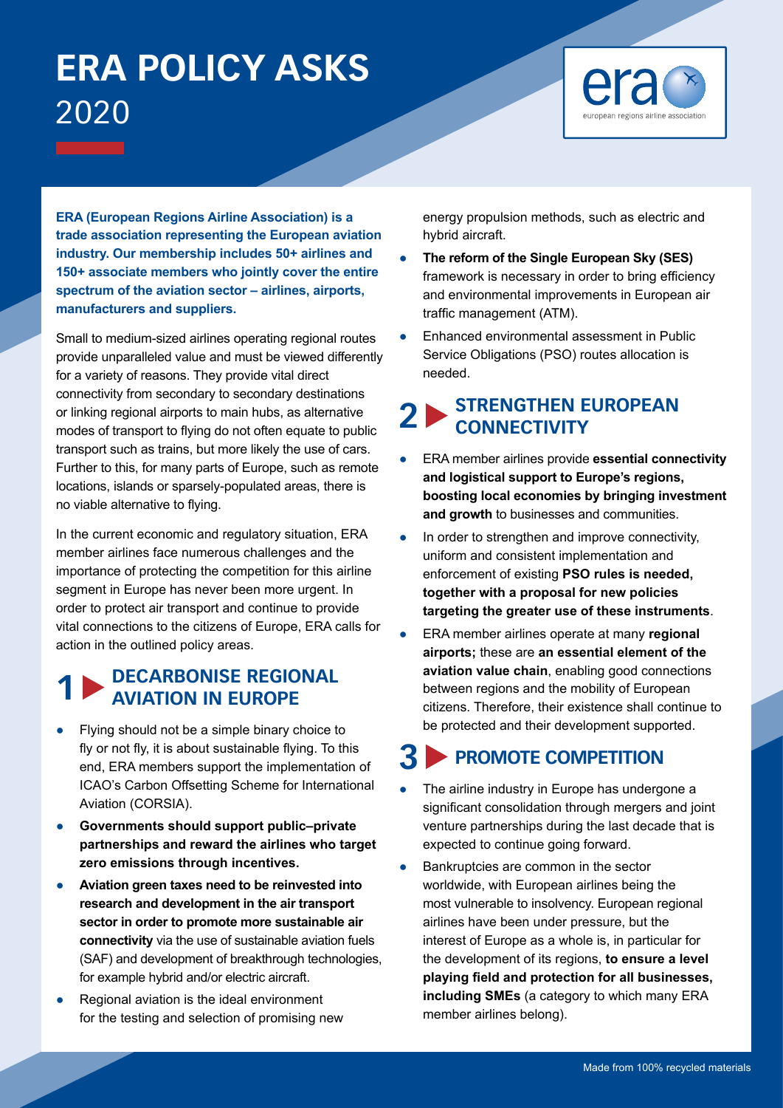# **ERA POLICY ASKS** 2020



**ERA (European Regions Airline Association) is a trade association representing the European aviation industry. Our membership includes 50+ airlines and 150+ associate members who jointly cover the entire spectrum of the aviation sector – airlines, airports, manufacturers and suppliers.** 

Small to medium-sized airlines operating regional routes provide unparalleled value and must be viewed differently for a variety of reasons. They provide vital direct connectivity from secondary to secondary destinations or linking regional airports to main hubs, as alternative modes of transport to flying do not often equate to public transport such as trains, but more likely the use of cars. Further to this, for many parts of Europe, such as remote locations, islands or sparsely-populated areas, there is no viable alternative to flying.

In the current economic and regulatory situation, ERA member airlines face numerous challenges and the importance of protecting the competition for this airline segment in Europe has never been more urgent. In order to protect air transport and continue to provide vital connections to the citizens of Europe, ERA calls for action in the outlined policy areas.

#### **1 DECARBONISE REGIONAL AVIATION IN EUROPE**

- Flying should not be a simple binary choice to fly or not fly, it is about sustainable flying. To this end, ERA members support the implementation of ICAO's Carbon Offsetting Scheme for International Aviation (CORSIA).
- **Governments should support public–private partnerships and reward the airlines who target zero emissions through incentives.**
- **Aviation green taxes need to be reinvested into research and development in the air transport sector in order to promote more sustainable air connectivity** via the use of sustainable aviation fuels (SAF) and development of breakthrough technologies, for example hybrid and/or electric aircraft.
- Regional aviation is the ideal environment for the testing and selection of promising new

energy propulsion methods, such as electric and hybrid aircraft.

- **The reform of the Single European Sky (SES)** framework is necessary in order to bring efficiency and environmental improvements in European air traffic management (ATM).
- Enhanced environmental assessment in Public Service Obligations (PSO) routes allocation is needed.

#### **2 STRENGTHEN EUROPEAN CONNECTIVITY**

- **ERA member airlines provide essential connectivity and logistical support to Europe's regions, boosting local economies by bringing investment and growth** to businesses and communities.
- In order to strengthen and improve connectivity, uniform and consistent implementation and enforcement of existing **PSO rules is needed, together with a proposal for new policies targeting the greater use of these instruments**.
- **ERA member airlines operate at many regional airports;** these are **an essential element of the aviation value chain**, enabling good connections between regions and the mobility of European citizens. Therefore, their existence shall continue to be protected and their development supported.

### **3 PROMOTE COMPETITION**

- The airline industry in Europe has undergone a significant consolidation through mergers and joint venture partnerships during the last decade that is expected to continue going forward.
- Bankruptcies are common in the sector worldwide, with European airlines being the most vulnerable to insolvency. European regional airlines have been under pressure, but the interest of Europe as a whole is, in particular for the development of its regions, **to ensure a level playing field and protection for all businesses, including SMEs** (a category to which many ERA member airlines belong).